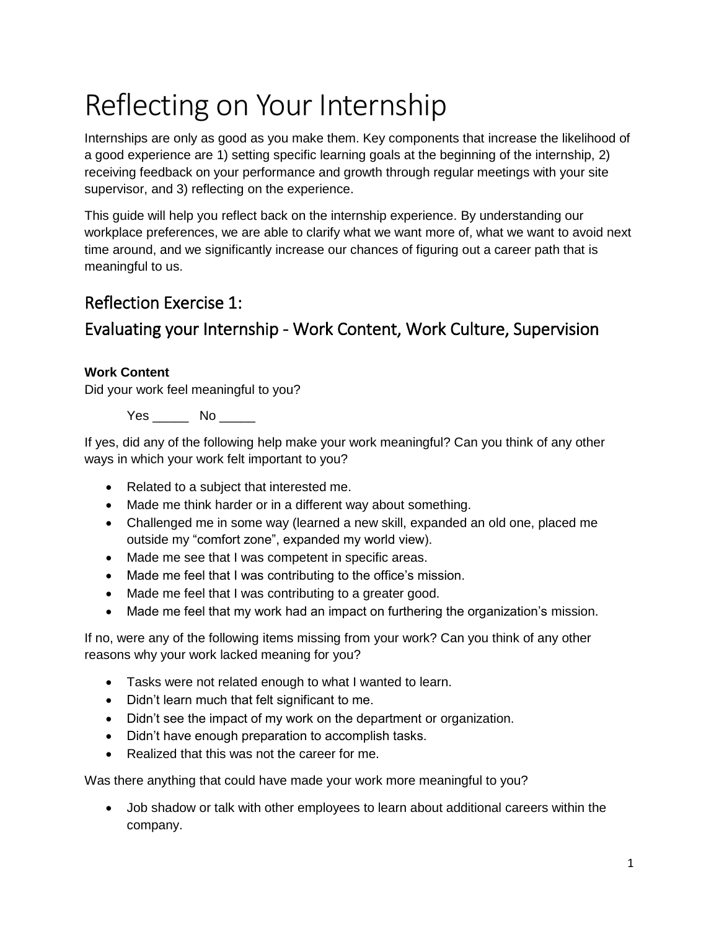# Reflecting on Your Internship

Internships are only as good as you make them. Key components that increase the likelihood of a good experience are 1) setting specific learning goals at the beginning of the internship, 2) receiving feedback on your performance and growth through regular meetings with your site supervisor, and 3) reflecting on the experience.

This guide will help you reflect back on the internship experience. By understanding our workplace preferences, we are able to clarify what we want more of, what we want to avoid next time around, and we significantly increase our chances of figuring out a career path that is meaningful to us.

# Reflection Exercise 1:

# Evaluating your Internship - Work Content, Work Culture, Supervision

## **Work Content**

Did your work feel meaningful to you?

Yes No No

If yes, did any of the following help make your work meaningful? Can you think of any other ways in which your work felt important to you?

- Related to a subject that interested me.
- Made me think harder or in a different way about something.
- Challenged me in some way (learned a new skill, expanded an old one, placed me outside my "comfort zone", expanded my world view).
- Made me see that I was competent in specific areas.
- Made me feel that I was contributing to the office's mission.
- Made me feel that I was contributing to a greater good.
- Made me feel that my work had an impact on furthering the organization's mission.

If no, were any of the following items missing from your work? Can you think of any other reasons why your work lacked meaning for you?

- Tasks were not related enough to what I wanted to learn.
- Didn't learn much that felt significant to me.
- Didn't see the impact of my work on the department or organization.
- Didn't have enough preparation to accomplish tasks.
- Realized that this was not the career for me.

Was there anything that could have made your work more meaningful to you?

 Job shadow or talk with other employees to learn about additional careers within the company.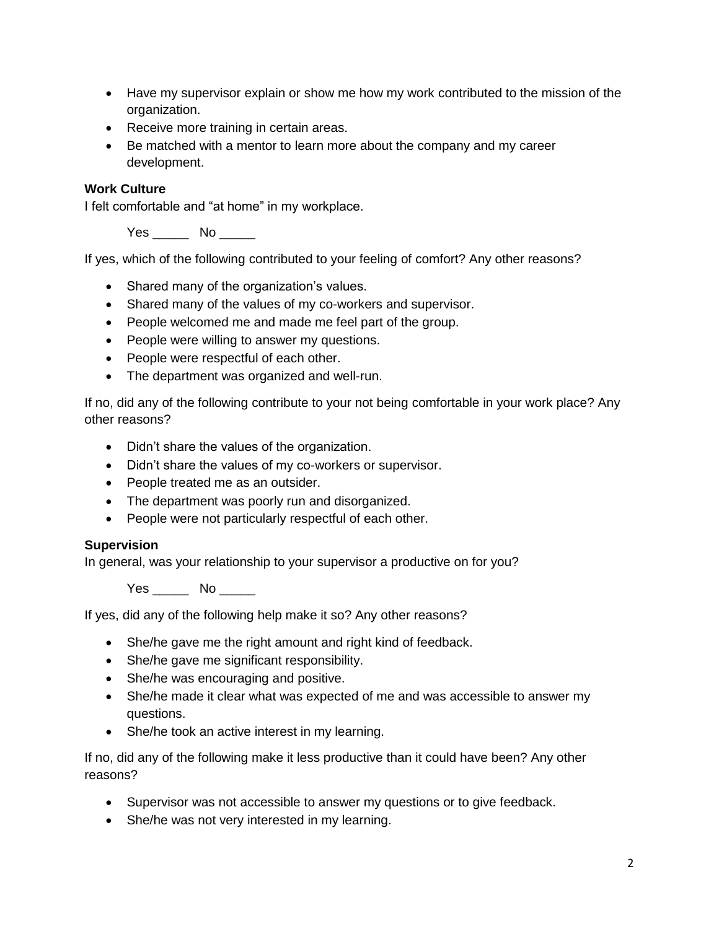- Have my supervisor explain or show me how my work contributed to the mission of the organization.
- Receive more training in certain areas.
- Be matched with a mentor to learn more about the company and my career development.

#### **Work Culture**

I felt comfortable and "at home" in my workplace.

Yes \_\_\_\_\_\_ No \_\_\_\_\_

If yes, which of the following contributed to your feeling of comfort? Any other reasons?

- Shared many of the organization's values.
- Shared many of the values of my co-workers and supervisor.
- People welcomed me and made me feel part of the group.
- People were willing to answer my questions.
- People were respectful of each other.
- The department was organized and well-run.

If no, did any of the following contribute to your not being comfortable in your work place? Any other reasons?

- Didn't share the values of the organization.
- Didn't share the values of my co-workers or supervisor.
- People treated me as an outsider.
- The department was poorly run and disorganized.
- People were not particularly respectful of each other.

#### **Supervision**

In general, was your relationship to your supervisor a productive on for you?

Yes No No

If yes, did any of the following help make it so? Any other reasons?

- She/he gave me the right amount and right kind of feedback.
- She/he gave me significant responsibility.
- She/he was encouraging and positive.
- She/he made it clear what was expected of me and was accessible to answer my questions.
- She/he took an active interest in my learning.

If no, did any of the following make it less productive than it could have been? Any other reasons?

- Supervisor was not accessible to answer my questions or to give feedback.
- She/he was not very interested in my learning.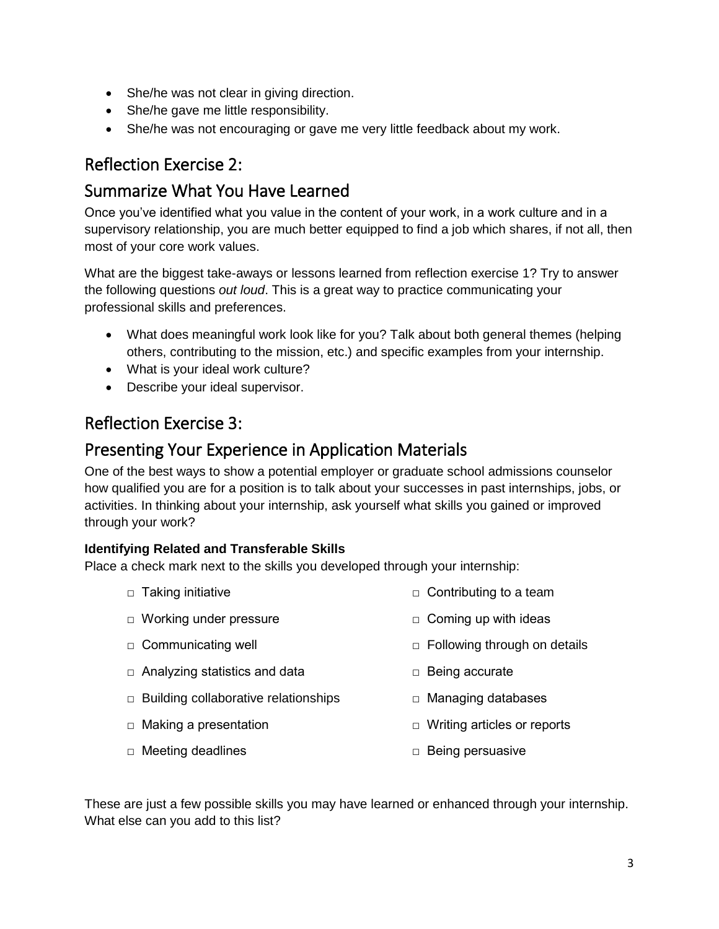- She/he was not clear in giving direction.
- She/he gave me little responsibility.
- She/he was not encouraging or gave me very little feedback about my work.

# Reflection Exercise 2:

## Summarize What You Have Learned

Once you've identified what you value in the content of your work, in a work culture and in a supervisory relationship, you are much better equipped to find a job which shares, if not all, then most of your core work values.

What are the biggest take-aways or lessons learned from reflection exercise 1? Try to answer the following questions *out loud*. This is a great way to practice communicating your professional skills and preferences.

- What does meaningful work look like for you? Talk about both general themes (helping others, contributing to the mission, etc.) and specific examples from your internship.
- What is your ideal work culture?
- Describe your ideal supervisor.

# Reflection Exercise 3:

# Presenting Your Experience in Application Materials

One of the best ways to show a potential employer or graduate school admissions counselor how qualified you are for a position is to talk about your successes in past internships, jobs, or activities. In thinking about your internship, ask yourself what skills you gained or improved through your work?

## **Identifying Related and Transferable Skills**

Place a check mark next to the skills you developed through your internship:

- $\Box$  Taking initiative  $\Box$  Contributing to a team
- □ Working under pressure  $\Box$  Coming up with ideas
- □ Communicating well
- $\Box$  Analyzing statistics and data
- □ Building collaborative relationships
- $\Box$  Making a presentation
- □ Writing articles or reports
- □ Meeting deadlines

□ Being persuasive

□ Being accurate

□ Managing databases

 $\Box$  Following through on details

These are just a few possible skills you may have learned or enhanced through your internship. What else can you add to this list?